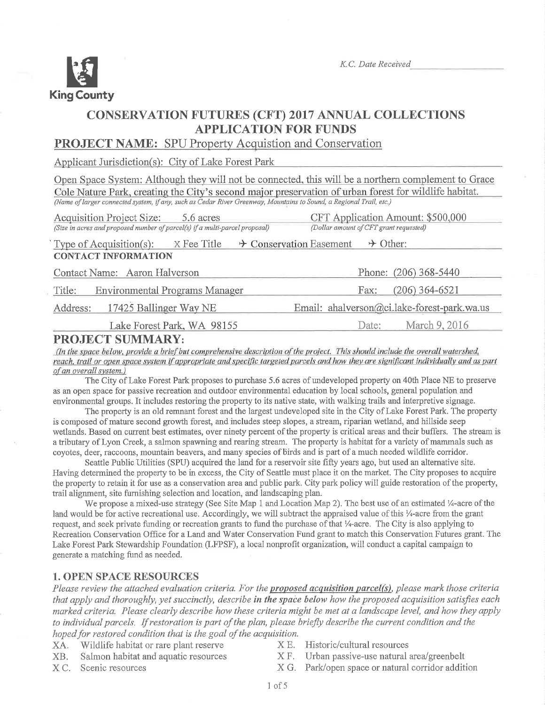

# **CONSERVATION FUTURES (CFT) 2017 ANNUAL COLLECTIONS APPLICATION FOR FUNDS**

# **PROJECT NAME:** SPU Property Acquistion and Conservation

Applicant Jurisdiction(s): City of Lake Forest Park

Open Space System: Although they will not be connected, this will be a northern complement to Grace Cole Nature Park, creating the City's second major preservation of urban forest for wildlife habitat. (Name of larger connected system, if any, such as Cedar River Greenway, Mountains to Sound, a Regional Trail, etc.)

**Acquisition Project Size:** 5.6 acres (Size in acres and proposed number of parcel(s) if a multi-parcel proposal) CFT Application Amount: \$500,000 (Dollar amount of CFT grant requested)

Fax:

Date:

Phone: (206) 368-5440

 $(206)$  364-6521

March 9, 2016

Type of Acquisition(s):  $X$  Fee Title  $\rightarrow$  Conservation Easement  $\rightarrow$  Other: **CONTACT INFORMATION** 

Contact Name: Aaron Halverson

**Environmental Programs Manager** Title:

Address: 17425 Ballinger Way NE Email: ahalverson@ci.lake-forest-park.wa.us

Lake Forest Park, WA 98155

**PROJECT SUMMARY:** 

(In the space below, provide a brief but comprehensive description of the project. This should include the overall watershed, reach, trail or open space system if appropriate and specific targeted parcels and how they are significant individually and as part of an overall system.)

The City of Lake Forest Park proposes to purchase 5.6 acres of undeveloped property on 40th Place NE to preserve as an open space for passive recreation and outdoor environmental education by local schools, general population and environmental groups. It includes restoring the property to its native state, with walking trails and interpretive signage.

The property is an old remnant forest and the largest undeveloped site in the City of Lake Forest Park. The property is composed of mature second growth forest, and includes steep slopes, a stream, riparian wetland, and hillside seep wetlands. Based on current best estimates, over ninety percent of the property is critical areas and their buffers. The stream is a tributary of Lyon Creek, a salmon spawning and rearing stream. The property is habitat for a variety of mammals such as coyotes, deer, raccoons, mountain beavers, and many species of birds and is part of a much needed wildlife corridor.

Seattle Public Utilities (SPU) acquired the land for a reservoir site fifty years ago, but used an alternative site. Having determined the property to be in excess, the City of Seattle must place it on the market. The City proposes to acquire the property to retain it for use as a conservation area and public park. City park policy will guide restoration of the property, trail alignment, site furnishing selection and location, and landscaping plan.

We propose a mixed-use strategy (See Site Map 1 and Location Map 2). The best use of an estimated 1/4-acre of the land would be for active recreational use. Accordingly, we will subtract the appraised value of this 1/4-acre from the grant request, and seek private funding or recreation grants to fund the purchase of that 1/4-acre. The City is also applying to Recreation Conservation Office for a Land and Water Conservation Fund grant to match this Conservation Futures grant. The Lake Forest Park Stewardship Foundation (LFPSF), a local nonprofit organization, will conduct a capital campaign to generate a matching fund as needed.

#### **1. OPEN SPACE RESOURCES**

Please review the attached evaluation criteria. For the proposed acquisition parcel(s), please mark those criteria that apply and thoroughly, yet succinctly, describe in the space below how the proposed acquisition satisfies each marked criteria. Please clearly describe how these criteria might be met at a landscape level, and how they apply to individual parcels. If restoration is part of the plan, please briefly describe the current condition and the hoped for restored condition that is the goal of the acquisition.

- Wildlife habitat or rare plant reserve XA.
- Salmon habitat and aquatic resources XB.
- X C. Scenic resources
- X E. Historic/cultural resources
- X F. Urban passive-use natural area/greenbelt
- X G. Park/open space or natural corridor addition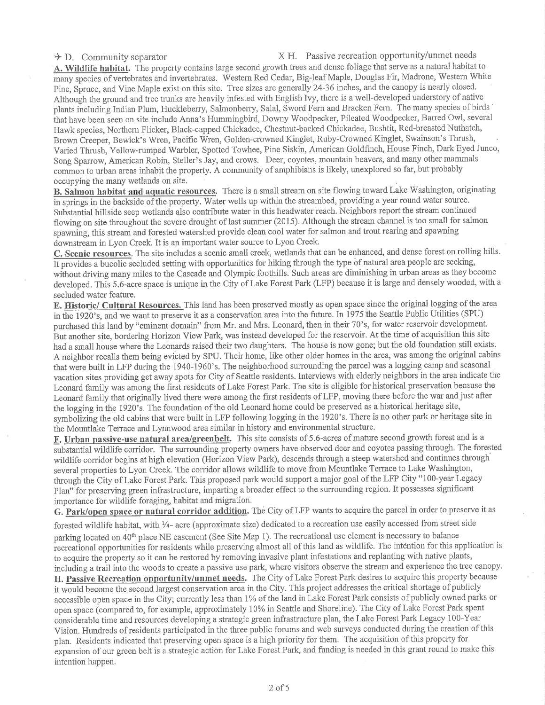occupying the many wetlands on site.  $\div$  D. Community separator  $X$  H. Passive recreation opportunity/unmet needs A. Witdlife habitat. The property contains large second growth trees and dense foliage that serve as a natural habitat to many species of vertebrates and invertebrates. Western Red Cedar, Big-leaf Maple, Douglas Fir, Madrone, Western White Pine, Spruce, and Vine Maple exist on this site. Tree sizes are generally 24-36 inches, and the canopy is nearly closed. Although the ground and tree trunks are heavily infested with English Ivy, there is a well-developed understory of native plants includirig Indian Plum, Huckleberry, Salmonberry, Salal, Sword Fem and Bracken Fern. The many species of birds that have been seen on site include Anna's Hummingbird, Downy Woodpecker, Pileated Woodpecker, Barred Owl, several Hawk species, Northern Flicker, Black-capped Chickadee, Chestnut-backed Chickadee, Bushtit, Red-breasted Nuthatch, Brown Creeper, Bewick's Wren, Pacific Wren, Golden-crowned Kinglet, Ruby-Crowned Kinglet, Swainson's Thrush, Varied Thrush, Yellow-rumped Warbler, Spotted Towhee, Pine Siskin, American Goldfinch, House Finch, Dark Eyed Junco, Song Sparrow, American Robin, Steller's Jay, and crows. Deer, coyotes, mountain beavers, and many other mammals common to urban areas inhabit the property. A community of amphibians is likely, unexplored so far, but probably

B. Salmon habitat and aquatic resources. There is a small stream on site flowing toward Lake Washington, originating in springs in the backside of the property. Water wells up within the streambed, providing a year round water source. Substantial hillside seep wetlands also contribute water in this headwater reach. Neighbors report the stream continued flowing on site throughout the severe drought of last summer (2015). Although the stream channel is too small for salmon spawning, this stream and forested watershed provide clean cool water for salmon and trout rearing and spawning downstream in Lyon Creek. It is an important water source to Lyon Creek.

C. Scenic resources. The site includes a scenic small creek, wetlands that can be enhanced, and dense forest on rolling hills. It provides a bucolic secluded setting with opportunities for hiking through the type òf natural area people are seekíng, without driving many miles to the Cascade and Olympic foothills. Such areas are diminishing in wban areas as they become developed. This 5.6-acre space is unique in the City of Lake Forest Park (LFP) because it is large and densely wooded, with a secluded water feature.

E. Historic/ Cultural Resources. This land has been preserved mostly as open space since the original logging of the area in the 1920's, and we want to preserve it as a conservation area into the future. In 1975 the Seattle Public Utilities (SPU) pwchased this land by "eminent domain" from Mr. and Mrs. Leonard, then in their 70's, for water reservoir development. But another site, bordering Horizon View Park, was instead developed for the reservoir. At the time of acquisition this site had a small house where the Leonards raised their two daughters, The house is now gone; but the old foundation still exists. A neighbor recalls them being evicted by SPU. Their home, like other older homes in the area, was among the original cabins that were built in LFP during the 1940-1960's. The neighborhood surrounding the parcel was a logging camp and seasonal vacation sites providing get away spots for City of Seattle residents. Interviews with elderly neighbors in the area indicate the Leonard family was among the first residents of Lake Forest Park. The site is eligible for historical preservation because the Leonard famiþ that originally lived there were among the first residents of LFP, moving there before the war and just after the logging in the 1920's. The foundation of the old Leonard home could be preserved as a historical heritage site, symbolizing the old cabins that were built in LFP following logging in the 1920's. There is no other park or heritage site in the Mountlake Terrace and Lynnwood area similar in history and environmental structure.

F. Urban passive-use natural area/greenbelt. This site consists of 5.6-acres of mature second growth forest and is a substantial wildlife corridor. The surrounding property owners have observed deer and coyotes passing through. The forested wildlife corridor begins at high elevation (Horizon View Park), descends through a steep watershed and continues through several properties to Lyon Creek. The corridor allows wildlife to move from Mountlake Terrace to Lake Washington, through the City of Lake Forest Park. This proposed park would support a major goal of the LFP City "100-year Legacy Plan" for preserving green infrastructure, imparting a broader effect to the surroundìng region. It possesses significant importance for wildlife foraging, habitat and migration.

G. Park/open space or natural corridor addition. Thé City of LFP wants to acquire the parcel in order to preserve it as

forested wildlife habitat, with  $\frac{1}{4}$ - acre (approximate size) dedicated to a recreation use easily accessed from street side parking located on 40<sup>th</sup> place NE easement (See Site Map 1). The recreational use element is necessary to balance recreational opportunities for residents while preserving almost all of this land as wildlife. The intention for this application is to acquire the property so it can be restored by removing invasive plant infestations and replanting with native plants, including a trail into the woods to create a passive use park, where visitors observe the stream and experience the tree canopy.

H. Passive Recreation opportunity/unmet needs. The City of Lake Forest Park desires to acquire this property because it would become the second largest conservation area in the City. This project addresses the critical shortage of publicly accessible open space in the City; currently less than l%o of the land in Lake Forest Park consists of publicly owned parks or open space (compared to, for example, approximately I0% in Seattle and Shoreline). The City of Lake Forest Park spent considerable time and resources developing a strategic green infrastructure plan, the Lake Forest Park Legacy 100-Year Vision. Hundreds of residents participated in the three public forums and web surveys conducted during the creation of this plan. Residents indicated that preserving open space is a high priority for them. The acquisition of this property for ãxpansion of our green belt is a strategic action for Lake Forest Park, and funding is needed in this grant round to make this intention happen.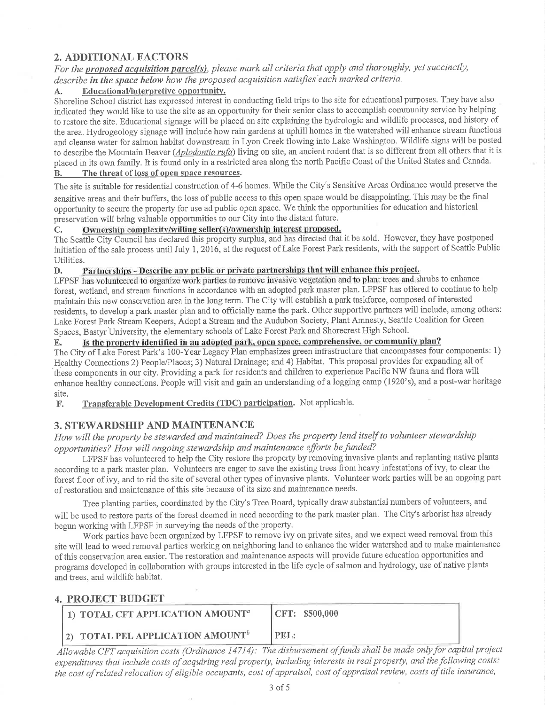# 2. ADDITIONAL FACTORS

For the proposed acquisition parcel(s), please mark all criteria that apply and thoroughly, yet succinctly, describe in the space below how the proposed acquisition satisfies each marked criteria.

# A. EducationaVinterpretive opportunitv.

Shoreline School district has expressed interest in conducting field trips to the site for educational purposes. They have also indicated they would like to use the site as an opportunity for their senior class to accomplish community service by helping to restore the site. Educational signage will be placed on site explaining the hydrologic and wildlife processes, and history of the area. Hydrogeology signage will include how rain gardens at uphill homes in the watershed will enhance stream functions and cleanse water for salmon habitat downstream in Lyon Creek flowing into Lake Washington. Wildlife signs will be posted to describe the Mountain Beaver (*Aplodontia rufa*) living on site, an ancient rodent that is so different from all others that it is placed in its own family. It is found only in a restricted area along the north Pacific Coast of the United States and Canada.

# B. The threat of loss of open space resources.

The site is suitable for residential construction of 4-6 homes. While the City's Sensitive Areas Ordinance would preserve the sensitive areas and their buffers, the loss of public access to this open space would be disappointing. This may be the frnal opportunity to secure the property for use ad public open space. We think the opportunities for education and historical preservation will bring valuable opportunities to our City into the distant future.<br>C. Ownership complexity/willing seller(s)/ownership interest proposed.

#### C.

The Seattle City Council has declared this property surplus, and has directed that it be sold. However, they have posþoned initiation of the sale process until July 1,2016, at the request of Lake Forest Park residents, with the support of Seattle Public

#### Utilities.<br>D. Partnerships - Describe any public or private partnerships that will enhance this project. D.

LFPSF has volunteered to organize work parties to remove invasive vegetation and to plant trees and shrubs to enhance forest, wetland, and stream functions in accordance with an adopted park master plan. LFPSF has offered to continue to help maintain this new conservation area in the long term. The City will establish a park taskforce, composed of interested residents, to develop a park master plan and to officially name the park. Other supportive partners will include, among others: Lake Forest Park Stream Keepers, Adopt a Stream and the Audubon Society, Plant Amnesty, Seattle Coalition for Green Spaces, Bastyr University, the elementary schools of Lake Forest Park and Shorecrest High School.<br>E. **Is the property identified in an adopted park, open space, comprehensive, or community plan?** 

#### E.

The City of Lake Forest Park's 100-Year Legacy Plan emphasizes green infrastructure that encompasses four components: 1) Healthy Connections 2) People/Places; 3) Natural Drainage; and 4) Habitat. This proposal provides for expanding all of these components in our city. Providing a park for residents and children to experience Pacific NW fauna and flora will enhance healthy connections. People will visit and gain an understanding of a logging camp (1920's), and a post-war heritage site.

F. Transferable Development Credits (TDC) participation. Not applicable.

# 3. STEWARDSHIP AND MAINTENANCE

## How will the property be stewarded and maintained? Does the property lend itself to volunteer stewardship opportunities? How will ongoing stewardship and maintenance efforts befunded?

LFPSF has volunteered to help the City restore the property by removing invasive plants and replanting native plants according to a park master plan. Volunteers are eager to save the existing trees from heavy infestations of ivy, to clear the forest floor of ivy, and to rid the site of several other types of invasive plants. Volunteer work parties will be an ongoing part of restoration and maintenance of this site because of its size and maintenance needs.

Tree planting parties, coordinated by the City's Tree Board, typicatly draw substantial numbers of volunteers, and will be used to restore parts of the forest deemed in need according to the park master plan. The City's arborist has already begun working with LFPSF in surveying the needs of the property.

Work parties have been organized by LFPSF to remove ivy on private sites, and we expect weed removal from this site will lead to weed removal parties working on neighboring land to enhance the wider watershed and to make maintenance of this conservation area easier. The restoration and maintenance aspects will provide future education opportunities and programs developed in collaboration with groups interested in the life cycle of salmon and hydrology, use of native plants and trees, and wildlife habitat.

#### 4. PROJECT BUDGET

| 1) TOTAL CFT APPLICATION AMOUNT <sup>a</sup> | CFT: \$500,000 |
|----------------------------------------------|----------------|
| 2) TOTAL PEL APPLICATION AMOUNT <sup>b</sup> | PEL:           |

Altowable CFT acquisition costs (Ordinance 14714): The disbursement offunds shall be made onlyfor capital proiect expenditures that include costs of acquiring real property, including interests in real property, and the following costs the cost of related relocation of eligible occupants, cost of appraisal, cost of appraisal review, costs of title insurance,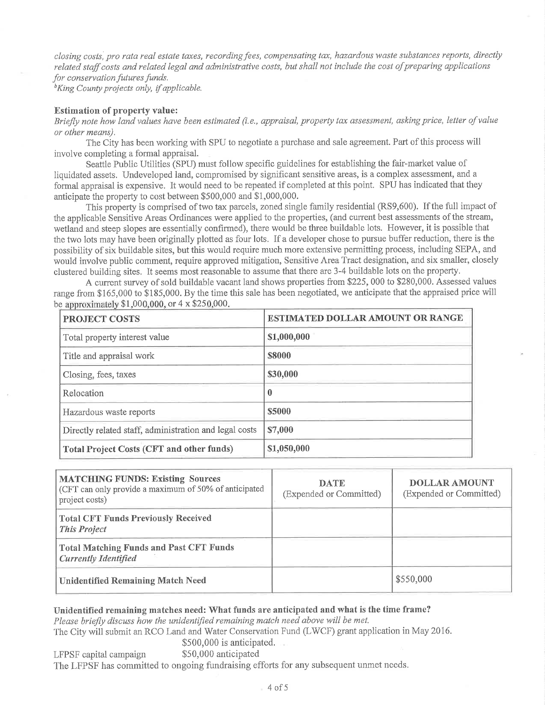closing costs, pro rata real estate taxes, recording fees, compensating tax, hazardous waste substances reports, directly related staff costs and related legal and adminístrative costs, but shall not include the cost of preparing applications for conservation futures funds.<br><sup>b</sup>King County projects only, if applicable.

#### Estimation of property value:

Briefly note how land values have been estimated (i.e., appraisal, property tax assessment, asking price, letter of value or other means).

The City has been working with SPU to negotiate a purchase and sale agreement. Part of this process will involve completing a formal appraisal.

Seattle Public Utilities (SPLD must follow specific guidelines for establishing the fair-market value of liquidated assets. Undeveloped land, compromised by significant sensitive areas, is a complex assessment, and a formal appraisal is expensive. It would need to be repeated if completed at this point. SPU has indicated that they anticipate the property to cost between \$500,000 and \$1,000,000.

This property is comprised of two tax patcels, zoned single family residential (RS9,600). If the full impact of the applicable Sensitive Areas Ordinances were applied to the properties, (and cument best assessments of the stream, wetland and steep slopes are essentially confrrmed), there would be three buildable lots. However, it is possible that the two lots may have been originally plotted as four lots. If a developer chose to pursue buffer reduction, there is the possibility of six buildable sites, but this would require much more extensive permitting process, including SEPA, and would involve public comment, require approved mitigation, Sensitive Area Tract designation, and six smaller, closely clustered building sites. It seems most reasonable to assume that there are 3-4 buildable lots on the property.

A current survey of sold buildable vacant land shows properties from \$225, 000 to \$280,000. Assessed values range from \$165,000 to \$185,000. By the time this sale has been negotiated, we anticipate that the appraised price will be approximately  $$1,000,000$ , or  $4 \times $250,000$ .

| PROJECT COSTS                                          | ESTIMATED DOLLAR AMOUNT OR RANGE |  |
|--------------------------------------------------------|----------------------------------|--|
| Total property interest value                          | \$1,000,000                      |  |
| Title and appraisal work                               | \$8000                           |  |
| Closing, fees, taxes                                   | \$30,000                         |  |
| Relocation                                             | $\bf{0}$                         |  |
| Hazardous waste reports                                | \$5000                           |  |
| Directly related staff, administration and legal costs | \$7,000                          |  |
| <b>Total Project Costs (CFT and other funds)</b>       | \$1,050,000                      |  |

| <b>MATCHING FUNDS: Existing Sources</b><br>(CFT can only provide a maximum of 50% of anticipated<br>project costs) | <b>DATE</b><br>(Expended or Committed) | <b>DOLLAR AMOUNT</b><br>(Expended or Committed) |
|--------------------------------------------------------------------------------------------------------------------|----------------------------------------|-------------------------------------------------|
| <b>Total CFT Funds Previously Received</b><br><b>This Project</b>                                                  |                                        |                                                 |
| <b>Total Matching Funds and Past CFT Funds</b><br><b>Currently Identified</b>                                      |                                        |                                                 |
| <b>Unidentified Remaining Match Need</b>                                                                           |                                        | \$550,000                                       |

# Unidentified remaining matches need: What funds are anticipated and what is the time frame?

Please briefly discuss how the unidentified remaining match need above will be met.

The City will submit an RCO Land and Water Conservation Fund (LWCF) grant application in May 2016. \$500,000 is anticipated.

LFPSF capital campaign \$50,000 anticipated

The LFPSF has committed to ongoing fundraising efforts for any subsequent unmet needs.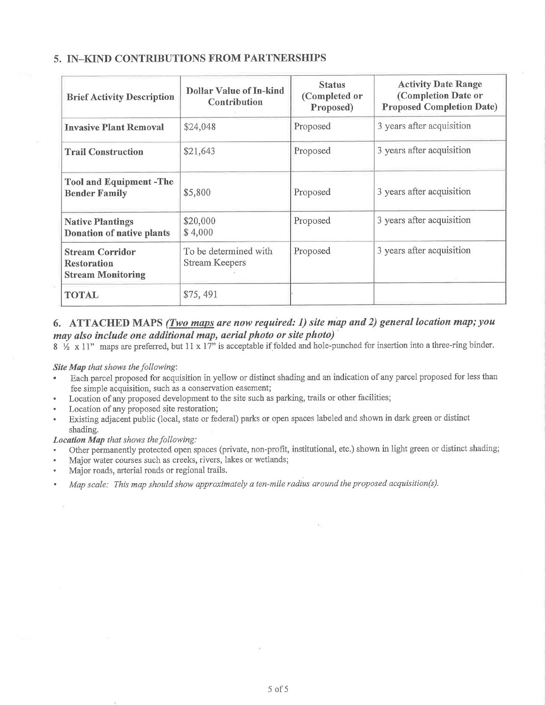## 5. IN-KIND CONTRIBUTIONS FROM PARTNERSHIPS

| <b>Brief Activity Description</b>                                        | <b>Dollar Value of In-kind</b><br>Contribution | <b>Status</b><br>(Completed or<br>Proposed) | <b>Activity Date Range</b><br>(Completion Date or<br><b>Proposed Completion Date)</b> |
|--------------------------------------------------------------------------|------------------------------------------------|---------------------------------------------|---------------------------------------------------------------------------------------|
| <b>Invasive Plant Removal</b>                                            | \$24,048                                       | Proposed                                    | 3 years after acquisition                                                             |
| <b>Trail Construction</b>                                                | \$21,643                                       | Proposed                                    | 3 years after acquisition                                                             |
| <b>Tool and Equipment -The</b><br><b>Bender Family</b>                   | \$5,800                                        | Proposed                                    | 3 years after acquisition                                                             |
| <b>Native Plantings</b><br>Donation of native plants                     | \$20,000<br>\$4,000                            | Proposed                                    | 3 years after acquisition                                                             |
| <b>Stream Corridor</b><br><b>Restoration</b><br><b>Stream Monitoring</b> | To be determined with<br><b>Stream Keepers</b> | Proposed                                    | 3 years after acquisition                                                             |
| <b>TOTAL</b>                                                             | \$75,491                                       |                                             |                                                                                       |

# 6. ATTACHED MAPS (*Two maps are now required: 1) site map and 2) general location map; you* møy ølso include one additional møp, aeríal photo or síte photo)

 $8\frac{1}{2} \times 11$ " maps are preferred, but 11 x 17" is acceptable if folded and hole-punched for insertion into a three-ring binder.

#### Site Map that shows the following:

- . Each parcel proposed for acquisition in yellow or distinct shading and an indication ofany parcel proposed for less than fee simple acquisition, such as a conservation easement;
- Location of any proposed development to the site such as parking, trails or other facilities;
- Location of any proposed site restoration;
- . Existing adjacent pubtic (local, state or federal) parks or open spaces labeled and shown in dark green or distinct shading.

#### Location Map that shows the following:

- Other permanently protected open spaces (private, non-profit, institutional, etc.) shown in light green or distinct shading;
- Major water courses such as creeks, rivers, lakes or wetlands;
- Major roads, arterial roads or regional trails.
- Map scale: This map should show approximately a ten-mile radius around the proposed acquisition(s).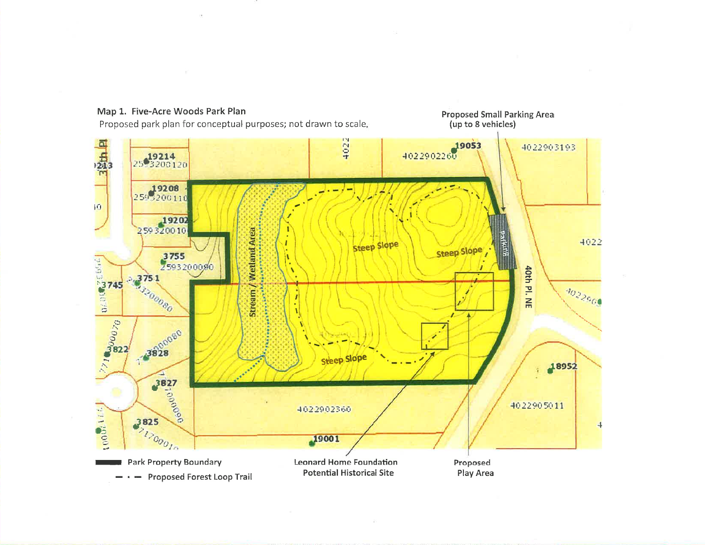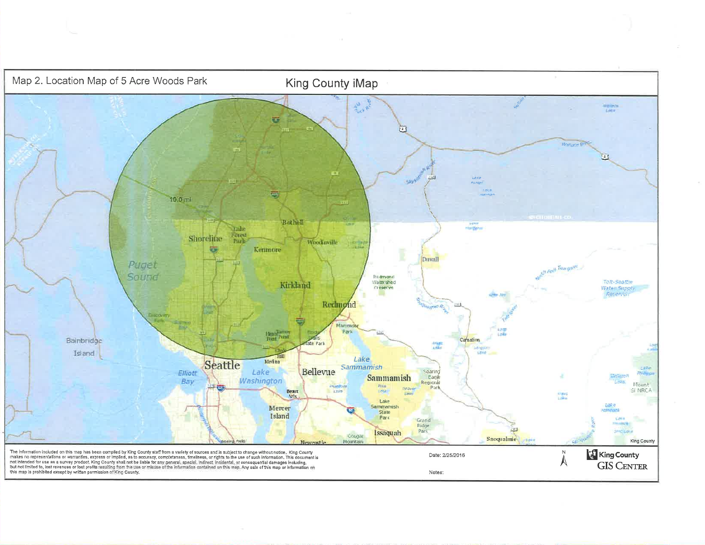